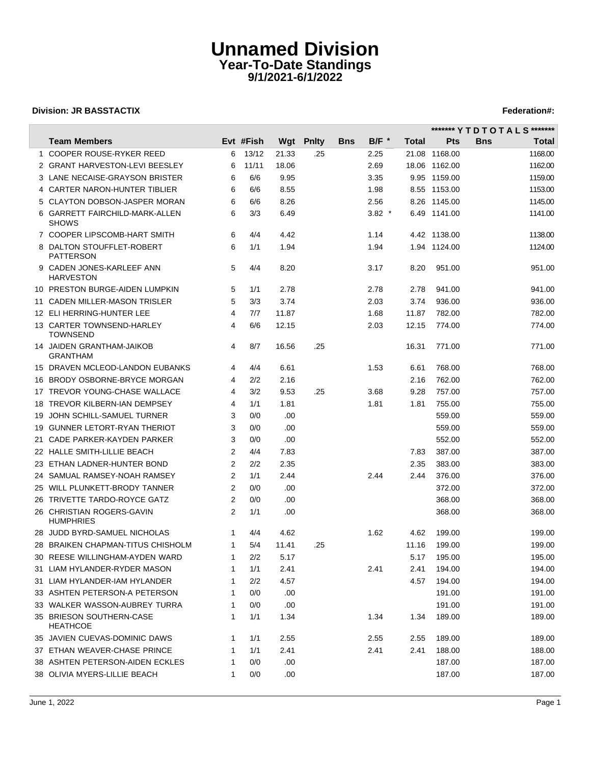# **Unnamed Division Year-To-Date Standings 9/1/2021-6/1/2022**

## **Division: JR BASSTACTIX Federation#:**

 $\overline{\phantom{a}}$ 

|                                                |   |           |       |                  |            |                    |       |               | ******* Y T D T O T A L S ******* |
|------------------------------------------------|---|-----------|-------|------------------|------------|--------------------|-------|---------------|-----------------------------------|
| <b>Team Members</b>                            |   | Evt #Fish |       | <b>Wgt Pnlty</b> | <b>Bns</b> | $B/F$ <sup>*</sup> | Total | Pts           | Total<br><b>Bns</b>               |
| 1 COOPER ROUSE-RYKER REED                      | 6 | 13/12     | 21.33 | .25              |            | 2.25               |       | 21.08 1168.00 | 1168.00                           |
| 2 GRANT HARVESTON-LEVI BEESLEY                 | 6 | 11/11     | 18.06 |                  |            | 2.69               |       | 18.06 1162.00 | 1162.00                           |
| 3 LANE NECAISE-GRAYSON BRISTER                 | 6 | 6/6       | 9.95  |                  |            | 3.35               |       | 9.95 1159.00  | 1159.00                           |
| 4 CARTER NARON-HUNTER TIBLIER                  | 6 | 6/6       | 8.55  |                  |            | 1.98               |       | 8.55 1153.00  | 1153.00                           |
| 5 CLAYTON DOBSON-JASPER MORAN                  | 6 | 6/6       | 8.26  |                  |            | 2.56               |       | 8.26 1145.00  | 1145.00                           |
| 6 GARRETT FAIRCHILD-MARK-ALLEN<br><b>SHOWS</b> | 6 | 3/3       | 6.49  |                  |            | $3.82*$            |       | 6.49 1141.00  | 1141.00                           |
| 7 COOPER LIPSCOMB-HART SMITH                   | 6 | 4/4       | 4.42  |                  |            | 1.14               |       | 4.42 1138.00  | 1138.00                           |
| 8 DALTON STOUFFLET-ROBERT<br><b>PATTERSON</b>  | 6 | 1/1       | 1.94  |                  |            | 1.94               |       | 1.94 1124.00  | 1124.00                           |
| 9 CADEN JONES-KARLEEF ANN<br><b>HARVESTON</b>  | 5 | 4/4       | 8.20  |                  |            | 3.17               | 8.20  | 951.00        | 951.00                            |
| 10 PRESTON BURGE-AIDEN LUMPKIN                 | 5 | 1/1       | 2.78  |                  |            | 2.78               | 2.78  | 941.00        | 941.00                            |
| 11 CADEN MILLER-MASON TRISLER                  | 5 | 3/3       | 3.74  |                  |            | 2.03               | 3.74  | 936.00        | 936.00                            |
| 12 ELI HERRING-HUNTER LEE                      | 4 | 7/7       | 11.87 |                  |            | 1.68               | 11.87 | 782.00        | 782.00                            |
| 13 CARTER TOWNSEND-HARLEY<br><b>TOWNSEND</b>   | 4 | 6/6       | 12.15 |                  |            | 2.03               | 12.15 | 774.00        | 774.00                            |
| 14 JAIDEN GRANTHAM-JAIKOB<br><b>GRANTHAM</b>   | 4 | 8/7       | 16.56 | .25              |            |                    | 16.31 | 771.00        | 771.00                            |
| 15 DRAVEN MCLEOD-LANDON EUBANKS                | 4 | 4/4       | 6.61  |                  |            | 1.53               | 6.61  | 768.00        | 768.00                            |
| 16 BRODY OSBORNE-BRYCE MORGAN                  | 4 | 2/2       | 2.16  |                  |            |                    | 2.16  | 762.00        | 762.00                            |
| 17 TREVOR YOUNG-CHASE WALLACE                  | 4 | 3/2       | 9.53  | .25              |            | 3.68               | 9.28  | 757.00        | 757.00                            |
| 18 TREVOR KILBERN-IAN DEMPSEY                  | 4 | 1/1       | 1.81  |                  |            | 1.81               | 1.81  | 755.00        | 755.00                            |
| 19 JOHN SCHILL-SAMUEL TURNER                   | 3 | 0/0       | .00   |                  |            |                    |       | 559.00        | 559.00                            |
| 19 GUNNER LETORT-RYAN THERIOT                  | 3 | 0/0       | .00   |                  |            |                    |       | 559.00        | 559.00                            |
| 21 CADE PARKER-KAYDEN PARKER                   | 3 | 0/0       | .00   |                  |            |                    |       | 552.00        | 552.00                            |
| 22 HALLE SMITH-LILLIE BEACH                    | 2 | 4/4       | 7.83  |                  |            |                    | 7.83  | 387.00        | 387.00                            |
| 23 ETHAN LADNER-HUNTER BOND                    | 2 | 2/2       | 2.35  |                  |            |                    | 2.35  | 383.00        | 383.00                            |
| 24 SAMUAL RAMSEY-NOAH RAMSEY                   | 2 | 1/1       | 2.44  |                  |            | 2.44               | 2.44  | 376.00        | 376.00                            |
| 25 WILL PLUNKETT-BRODY TANNER                  | 2 | 0/0       | .00   |                  |            |                    |       | 372.00        | 372.00                            |
| 26 TRIVETTE TARDO-ROYCE GATZ                   | 2 | 0/0       | .00   |                  |            |                    |       | 368.00        | 368.00                            |
| 26 CHRISTIAN ROGERS-GAVIN<br><b>HUMPHRIES</b>  | 2 | 1/1       | .00   |                  |            |                    |       | 368.00        | 368.00                            |
| 28 JUDD BYRD-SAMUEL NICHOLAS                   |   | 4/4       | 4.62  |                  |            | 1.62               | 4.62  | 199.00        | 199.00                            |
| 28 BRAIKEN CHAPMAN-TITUS CHISHOLM              | 1 | 5/4       | 11.41 | .25              |            |                    | 11.16 | 199.00        | 199.00                            |
| 30 REESE WILLINGHAM-AYDEN WARD                 |   | 2/2       | 5.17  |                  |            |                    |       | 5.17 195.00   | 195.00                            |
| 31 LIAM HYLANDER-RYDER MASON                   |   | 1/1       | 2.41  |                  |            | 2.41               | 2.41  | 194.00        | 194.00                            |
| 31 LIAM HYLANDER-IAM HYLANDER                  |   | 2/2       | 4.57  |                  |            |                    | 4.57  | 194.00        | 194.00                            |
| 33 ASHTEN PETERSON-A PETERSON                  | 1 | 0/0       | .00   |                  |            |                    |       | 191.00        | 191.00                            |
| 33 WALKER WASSON-AUBREY TURRA                  | 1 | 0/0       | .00   |                  |            |                    |       | 191.00        | 191.00                            |
| 35 BRIESON SOUTHERN-CASE<br><b>HEATHCOE</b>    | 1 | 1/1       | 1.34  |                  |            | 1.34               | 1.34  | 189.00        | 189.00                            |
| 35 JAVIEN CUEVAS-DOMINIC DAWS                  | 1 | 1/1       | 2.55  |                  |            | 2.55               | 2.55  | 189.00        | 189.00                            |
| 37 ETHAN WEAVER-CHASE PRINCE                   |   | 1/1       | 2.41  |                  |            | 2.41               | 2.41  | 188.00        | 188.00                            |
| 38 ASHTEN PETERSON-AIDEN ECKLES                |   | 0/0       | .00   |                  |            |                    |       | 187.00        | 187.00                            |
| 38 OLIVIA MYERS-LILLIE BEACH                   | 1 | 0/0       | .00   |                  |            |                    |       | 187.00        | 187.00                            |